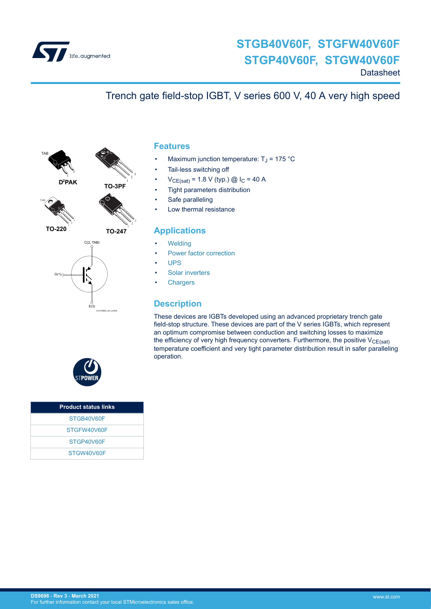

# **STGB40V60F, STGFW40V60F STGP40V60F, STGW40V60F**

**Datasheet** 

# Trench gate field-stop IGBT, V series 600 V, 40 A very high speed



 $D^2$ **PAK** 



**TO-220** 

**TO-247**

**TO-3PF** 1  $\frac{3}{2}$ <sup>3</sup>



### **Features**

- Maximum junction temperature:  $T_J$  = 175 °C
- Tail-less switching off
- $V_{CE(sat)} = 1.8 V$  (typ.) @  $I_C = 40 A$
- Tight parameters distribution
- Safe paralleling
- Low thermal resistance

### **Applications**

- **[Welding](https://www.st.com/en/applications/industrial-power-and-tools/welding.html?ecmp=tt9471_gl_link_feb2019&rt=ds&id=DS9698)**
- [Power factor correction](https://www.st.com/en/applications/power-supplies-and-converters/pfc-converter-single-phase-input.html?ecmp=tt9471_gl_link_feb2019&rt=ds&id=DS9698)
- [UPS](https://www.st.com/en/applications/power-supplies-and-converters/uninterruptable-power-supplies-ups.html?ecmp=tt9471_gl_link_feb2019&rt=ds&id=DS9698)
- [Solar inverters](https://www.st.com/en/applications/energy-generation-and-distribution/solar-inverters-string-and-central.html?ecmp=tt9471_gl_link_feb2019&rt=ds&id=DS9698)
- **[Chargers](https://www.st.com/en/applications/energy-generation-and-distribution/dc-fast-charging-station.html?ecmp=tt9471_gl_link_feb2019&rt=ds&id=DS9698)**

### **Description**

These devices are IGBTs developed using an advanced proprietary trench gate field-stop structure. These devices are part of the V series IGBTs, which represent an optimum compromise between conduction and switching losses to maximize the efficiency of very high frequency converters. Furthermore, the positive  $V_{CE(sat)}$ temperature coefficient and very tight parameter distribution result in safer paralleling operation.



| <b>Product status links</b> |  |
|-----------------------------|--|
| STGB40V60F                  |  |
| STGFW40V60F                 |  |
| STGP40V60F                  |  |
| STGW40V60F                  |  |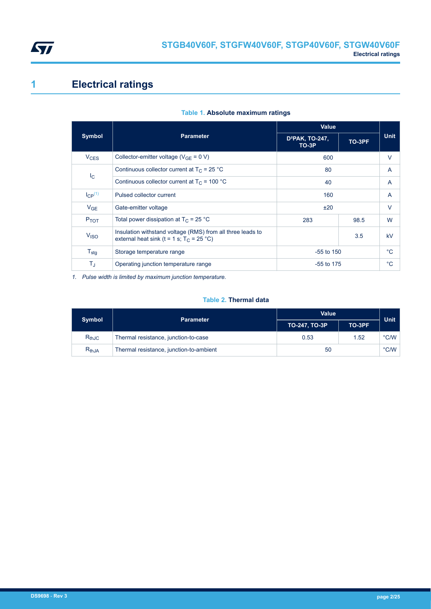<span id="page-1-0"></span>

# **1 Electrical ratings**

|                  |                                                                                                           | <b>Value</b>                         |        |             |
|------------------|-----------------------------------------------------------------------------------------------------------|--------------------------------------|--------|-------------|
| <b>Symbol</b>    | <b>Parameter</b>                                                                                          | D <sup>2</sup> PAK, TO-247,<br>TO-3P | TO-3PF | <b>Unit</b> |
| $V_{CES}$        | Collector-emitter voltage ( $V_{GF} = 0 V$ )                                                              | 600                                  |        | V           |
|                  | Continuous collector current at $T_C = 25$ °C                                                             | 80                                   |        | A           |
| $I_{\rm C}$      | Continuous collector current at $T_C = 100 °C$                                                            | 40                                   |        | A           |
| $I_{CP}^{(1)}$   | Pulsed collector current                                                                                  | 160                                  |        | A           |
| V <sub>GE</sub>  | Gate-emitter voltage                                                                                      | ±20                                  |        | V           |
| $P_{TOT}$        | Total power dissipation at $T_C = 25 °C$                                                                  | 283                                  | 98.5   | W           |
| V <sub>ISO</sub> | Insulation withstand voltage (RMS) from all three leads to<br>external heat sink (t = 1 s; $T_C$ = 25 °C) |                                      | 3.5    | kV          |
| $T_{\text{stg}}$ | Storage temperature range                                                                                 | $-55$ to 150                         |        | $^{\circ}C$ |
| ТJ               | Operating junction temperature range                                                                      | $-55$ to 175                         |        | $^{\circ}C$ |

#### **Table 1. Absolute maximum ratings**

*1. Pulse width is limited by maximum junction temperature.*

#### **Table 2. Thermal data**

| <b>Symbol</b> | <b>Parameter</b>                        | <b>Value</b>  | Unit   |               |
|---------------|-----------------------------------------|---------------|--------|---------------|
|               |                                         | TO-247, TO-3P | TO-3PF |               |
| $R_{thJC}$    | Thermal resistance, junction-to-case    | 0.53          | 1.52   | $\degree$ C/W |
| $R_{thJA}$    | Thermal resistance, junction-to-ambient | 50            |        | $\degree$ C/W |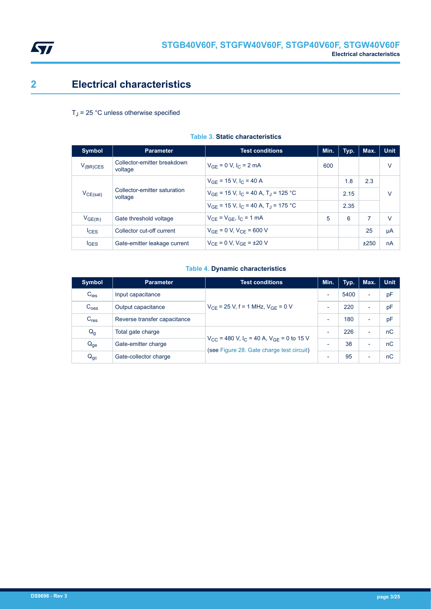<span id="page-2-0"></span>

# **2 Electrical characteristics**

#### $T_J$  = 25 °C unless otherwise specified

| <b>Symbol</b>       | <b>Parameter</b>                        | <b>Test conditions</b>                                          | Min. | Typ. | Max. | <b>Unit</b> |
|---------------------|-----------------------------------------|-----------------------------------------------------------------|------|------|------|-------------|
| $V_{(BR)CES}$       | Collector-emitter breakdown<br>voltage  | $V_{GF} = 0 V, IC = 2 mA$                                       | 600  |      |      | v           |
|                     |                                         | $V_{GE}$ = 15 V, $I_C$ = 40 A                                   |      | 1.8  | 2.3  |             |
| $V_{CE(sat)}$       | Collector-emitter saturation<br>voltage | $V_{GF}$ = 15 V, I <sub>C</sub> = 40 A, T <sub>J</sub> = 125 °C |      | 2.15 |      | V           |
|                     |                                         | $V_{GE}$ = 15 V, I <sub>C</sub> = 40 A, T <sub>1</sub> = 175 °C |      | 2.35 |      |             |
| V <sub>GE(th)</sub> | Gate threshold voltage                  | $V_{CF} = V_{GF}$ , $I_C = 1$ mA                                | 5    | 6    | 7    | v           |
| $I_{CES}$           | Collector cut-off current               | $V_{GE} = 0 V$ , $V_{CE} = 600 V$                               |      |      | 25   | μA          |
| <b>IGES</b>         | Gate-emitter leakage current            | $V_{CF} = 0 V$ , $V_{GF} = \pm 20 V$                            |      |      | ±250 | nA          |

#### **Table 3. Static characteristics**

#### **Table 4. Dynamic characteristics**

| <b>Symbol</b>    | <b>Parameter</b>             | <b>Test conditions</b>                                                                                                   | Min.                     | Typ. | Max.                     | <b>Unit</b> |
|------------------|------------------------------|--------------------------------------------------------------------------------------------------------------------------|--------------------------|------|--------------------------|-------------|
| $C_{\text{ies}}$ | Input capacitance            |                                                                                                                          | $\overline{\phantom{0}}$ | 5400 | -                        | pF          |
| C <sub>oes</sub> | Output capacitance           | $V_{CF}$ = 25 V, f = 1 MHz, $V_{GF}$ = 0 V                                                                               |                          | 220  | $\overline{\phantom{0}}$ | pF          |
| $C_{res}$        | Reverse transfer capacitance |                                                                                                                          |                          | 180  | -                        | pF          |
| $Q_g$            | Total gate charge            | $V_{\text{CC}}$ = 480 V, I <sub>C</sub> = 40 A, V <sub>GF</sub> = 0 to 15 V<br>(see Figure 28. Gate charge test circuit) |                          | 226  | $\overline{\phantom{0}}$ | nC          |
| $Q_{ge}$         | Gate-emitter charge          |                                                                                                                          |                          | 38   | $\overline{\phantom{0}}$ | nC          |
| $Q_{gc}$         | Gate-collector charge        |                                                                                                                          |                          | 95   | $\overline{\phantom{0}}$ | nC          |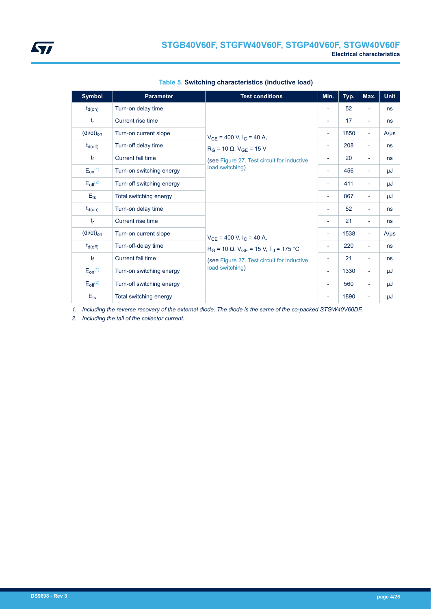| <b>Symbol</b>       | <b>Parameter</b>          | <b>Test conditions</b>                                                                                                                             | Min.                     | Typ. | Max.                     | <b>Unit</b> |
|---------------------|---------------------------|----------------------------------------------------------------------------------------------------------------------------------------------------|--------------------------|------|--------------------------|-------------|
| $t_{d(on)}$         | Turn-on delay time        |                                                                                                                                                    | $\overline{\phantom{a}}$ | 52   | $\overline{\phantom{0}}$ | ns          |
| $t_{r}$             | Current rise time         |                                                                                                                                                    | $\overline{\phantom{a}}$ | 17   | Ξ.                       | ns          |
| $(dil/dt)_{on}$     | Turn-on current slope     |                                                                                                                                                    | $\overline{\phantom{a}}$ | 1850 | $\overline{\phantom{a}}$ | $A/\mu s$   |
| $t_{d(\text{off})}$ | Turn-off delay time       | $V_{CE}$ = 400 V, I <sub>C</sub> = 40 A,<br>$R_G$ = 10 $\Omega$ , $V_{GE}$ = 15 V<br>(see Figure 27. Test circuit for inductive<br>load switching) | $\overline{\phantom{a}}$ | 208  | $\overline{\phantom{0}}$ | ns          |
| tf                  | Current fall time         |                                                                                                                                                    | $\overline{\phantom{a}}$ | 20   | Ξ.                       | ns          |
| $E_{on}^{(1)}$      | Turn-on switching energy  |                                                                                                                                                    | $\overline{\phantom{a}}$ | 456  | ۰                        | μJ          |
| $E_{off}^{(2)}$     | Turn-off switching energy |                                                                                                                                                    | $\overline{\phantom{a}}$ | 411  | $\overline{\phantom{a}}$ | μJ          |
| $E_{ts}$            | Total switching energy    |                                                                                                                                                    |                          | 867  | $\overline{\phantom{0}}$ | μJ          |
| $t_{d(on)}$         | Turn-on delay time        |                                                                                                                                                    | $\overline{\phantom{a}}$ | 52   | $\overline{\phantom{0}}$ | ns          |
| $t_{r}$             | Current rise time         |                                                                                                                                                    | $\overline{\phantom{a}}$ | 21   | Ξ.                       | ns          |
| $(dil/dt)_{on}$     | Turn-on current slope     | $V_{CF}$ = 400 V, I <sub>C</sub> = 40 A,                                                                                                           | $\overline{\phantom{a}}$ | 1538 | $\overline{\phantom{a}}$ | $A/\mu s$   |
| $t_{d(off)}$        | Turn-off-delay time       | $R_G$ = 10 $\Omega$ , $V_{GE}$ = 15 V, T <sub>J</sub> = 175 °C                                                                                     | $\overline{\phantom{a}}$ | 220  | ÷                        | ns          |
| $t_{\rm f}$         | Current fall time         | (see Figure 27. Test circuit for inductive<br>load switching)                                                                                      | $\overline{\phantom{a}}$ | 21   | $\overline{\phantom{a}}$ | ns          |
| $E_{on}^{(1)}$      | Turn-on switching energy  |                                                                                                                                                    | $\overline{\phantom{a}}$ | 1330 | $\overline{\phantom{0}}$ | μJ          |
| $E_{off}^{(2)}$     | Turn-off switching energy |                                                                                                                                                    | $\overline{\phantom{a}}$ | 560  | Ξ.                       | μJ          |
| $E_{ts}$            | Total switching energy    |                                                                                                                                                    | $\overline{\phantom{a}}$ | 1890 | $\overline{\phantom{0}}$ | μJ          |

|  | Table 5. Switching characteristics (inductive load) |  |
|--|-----------------------------------------------------|--|
|  |                                                     |  |

*1. Including the reverse recovery of the external diode. The diode is the same of the co-packed STGW40V60DF.*

*2. Including the tail of the collector current.*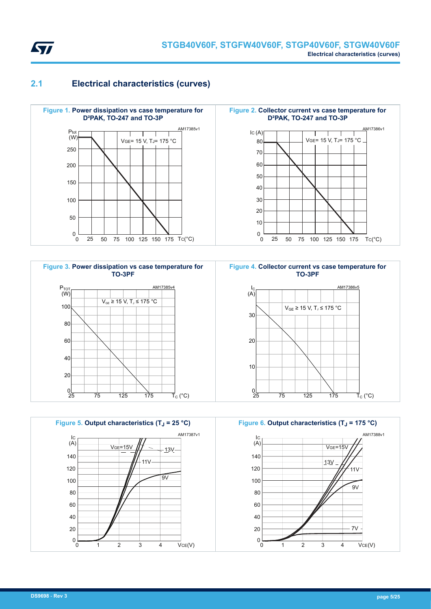<span id="page-4-0"></span>

### **2.1 Electrical characteristics (curves)**







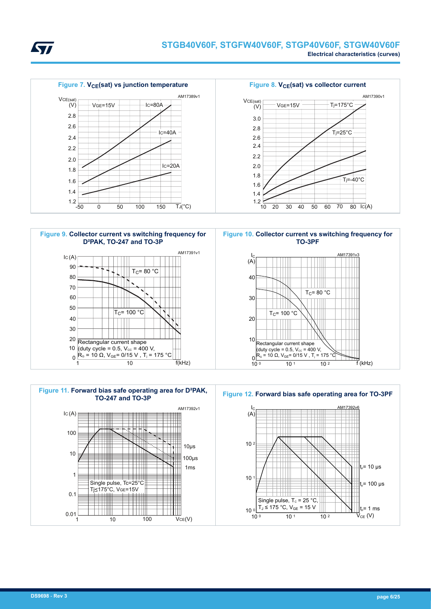



<span id="page-5-0"></span>577





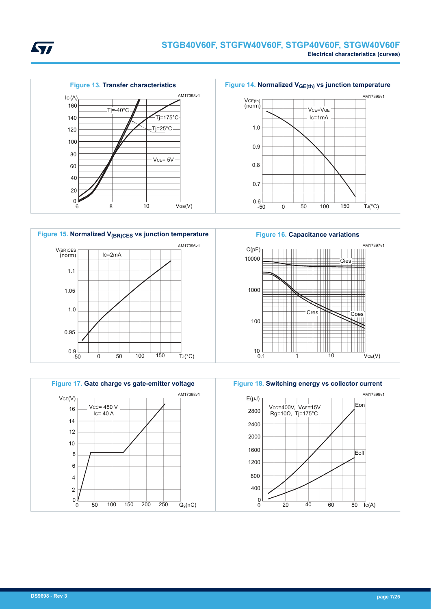









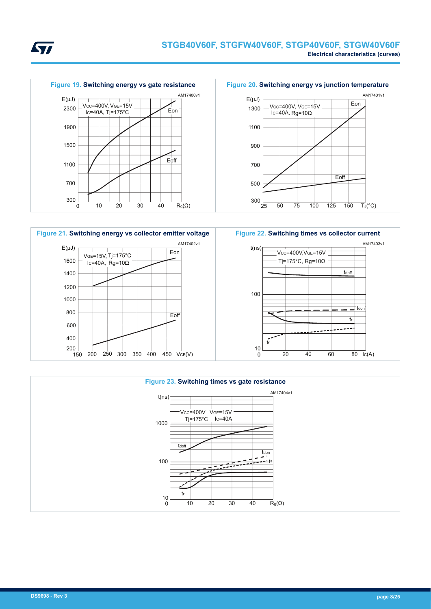







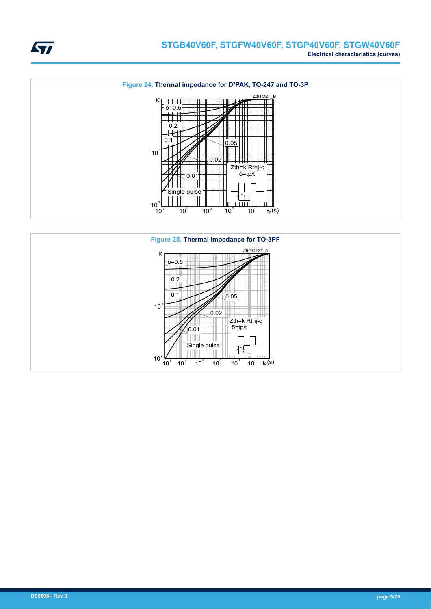





**STI**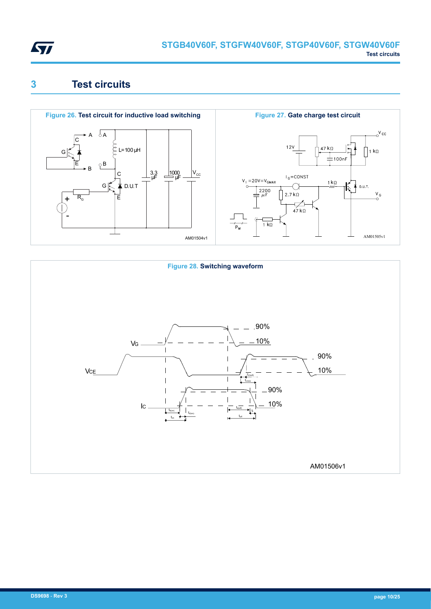<span id="page-9-0"></span>

# **3 Test circuits**





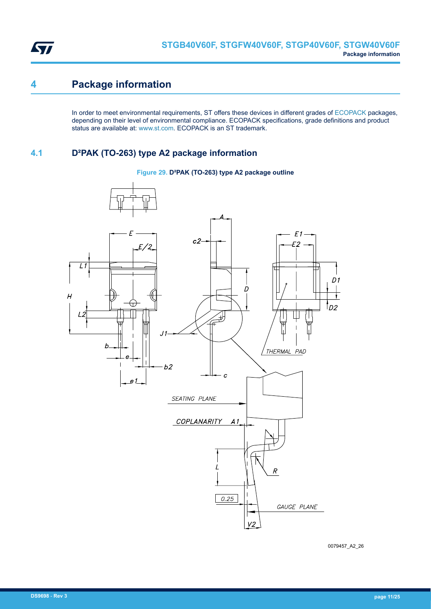<span id="page-10-0"></span>

# **4 Package information**

In order to meet environmental requirements, ST offers these devices in different grades of [ECOPACK](https://www.st.com/ecopack) packages, depending on their level of environmental compliance. ECOPACK specifications, grade definitions and product status are available at: [www.st.com.](http://www.st.com) ECOPACK is an ST trademark.

### **4.1 D²PAK (TO-263) type A2 package information**

#### **Figure 29. D²PAK (TO-263) type A2 package outline**



0079457\_A2\_26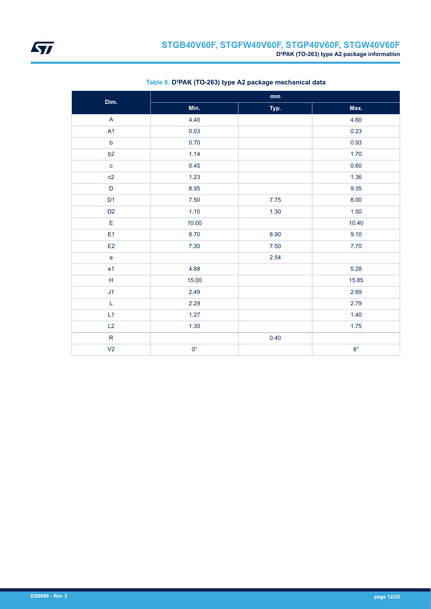| Dim.                    | $\mathbf{mm}$ |      |             |  |  |
|-------------------------|---------------|------|-------------|--|--|
|                         | Min.          | Typ. | Max.        |  |  |
| $\overline{\mathsf{A}}$ | 4.40          |      | 4.60        |  |  |
| A1                      | 0.03          |      | 0.23        |  |  |
| $\mathsf b$             | 0.70          |      | 0.93        |  |  |
| b2                      | 1.14          |      | 1.70        |  |  |
| $\mathbf c$             | 0.45          |      | 0.60        |  |  |
| c2                      | 1.23          |      | 1.36        |  |  |
| $\mathsf D$             | 8.95          |      | 9.35        |  |  |
| D <sub>1</sub>          | 7.50          | 7.75 | 8.00        |  |  |
| D <sub>2</sub>          | 1.10          | 1.30 | 1.50        |  |  |
| $\mathsf E$             | 10.00         |      | 10.40       |  |  |
| E <sub>1</sub>          | 8.70          | 8.90 | 9.10        |  |  |
| E2                      | 7.30          | 7.50 | 7.70        |  |  |
| $\mathbf e$             |               | 2.54 |             |  |  |
| e1                      | 4.88          |      | 5.28        |  |  |
| $\mathsf H$             | 15.00         |      | 15.85       |  |  |
| J <sub>1</sub>          | 2.49          |      | 2.69        |  |  |
| $\mathsf L$             | 2.29          |      | 2.79        |  |  |
| L1                      | 1.27          |      | 1.40        |  |  |
| L2                      | $1.30$        |      | 1.75        |  |  |
| $\mathsf{R}$            |               | 0.40 |             |  |  |
| V <sub>2</sub>          | $0^{\circ}$   |      | $8^{\circ}$ |  |  |

#### **Table 6. D²PAK (TO-263) type A2 package mechanical data**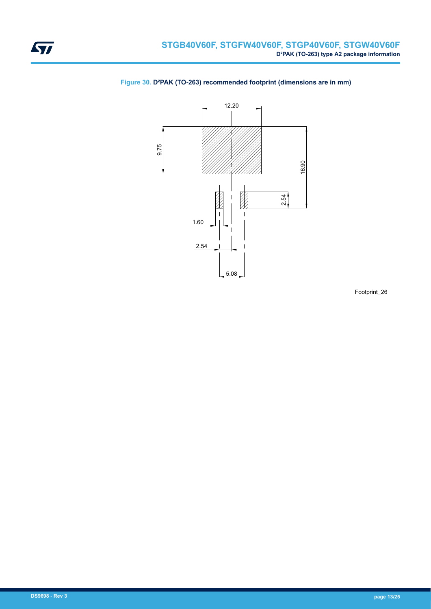

#### **Figure 30. D²PAK (TO-263) recommended footprint (dimensions are in mm)**

Footprint\_26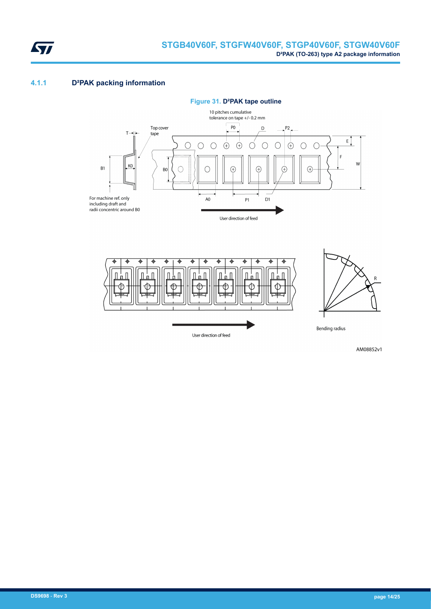<span id="page-13-0"></span>

#### **4.1.1 D²PAK packing information**





AM08852v1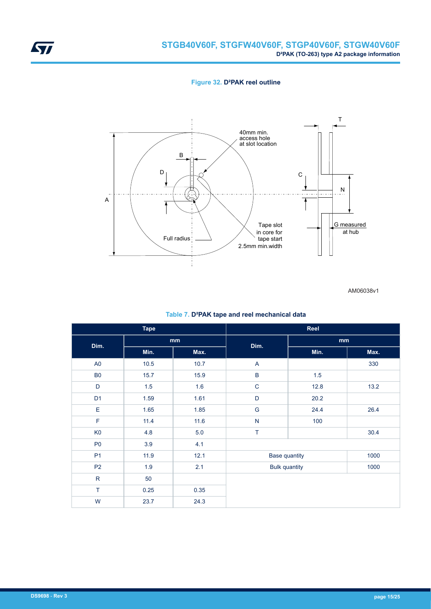

#### **Figure 32. D²PAK reel outline**



AM06038v1

| <b>Tape</b>    |      | Reel |                      |                      |      |
|----------------|------|------|----------------------|----------------------|------|
| Dim.           |      | mm   |                      | mm                   |      |
|                | Min. | Max. | Dim.                 | Min.                 | Max. |
| A <sub>0</sub> | 10.5 | 10.7 | A                    |                      | 330  |
| B <sub>0</sub> | 15.7 | 15.9 | $\sf B$              | 1.5                  |      |
| D              | 1.5  | 1.6  | $\mathsf C$          | 12.8                 | 13.2 |
| D <sub>1</sub> | 1.59 | 1.61 | D                    | 20.2                 |      |
| E              | 1.65 | 1.85 | G                    | 24.4                 | 26.4 |
| F              | 11.4 | 11.6 | ${\sf N}$            | 100                  |      |
| K <sub>0</sub> | 4.8  | 5.0  | T                    |                      | 30.4 |
| P <sub>0</sub> | 3.9  | 4.1  |                      |                      |      |
| P <sub>1</sub> | 11.9 | 12.1 |                      | <b>Base quantity</b> | 1000 |
| P <sub>2</sub> | 1.9  | 2.1  | <b>Bulk quantity</b> |                      | 1000 |
| $\mathsf{R}$   | 50   |      |                      |                      |      |
| T              | 0.25 | 0.35 |                      |                      |      |
| W              | 23.7 | 24.3 |                      |                      |      |

#### **Table 7. D²PAK tape and reel mechanical data**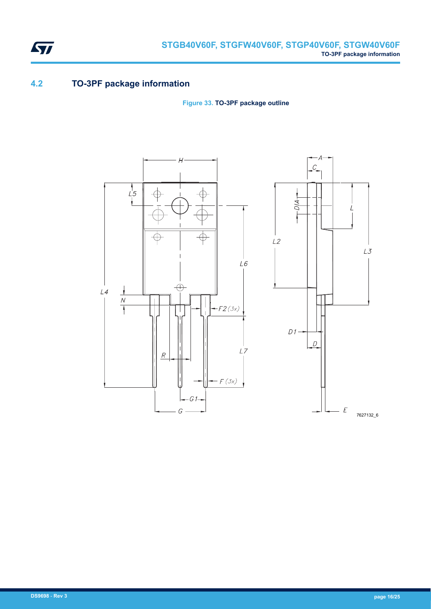

### **4.2 TO-3PF package information**

<span id="page-15-0"></span>ST

**Figure 33. TO-3PF package outline**



**DS9698** - **Rev 3 page 16/25**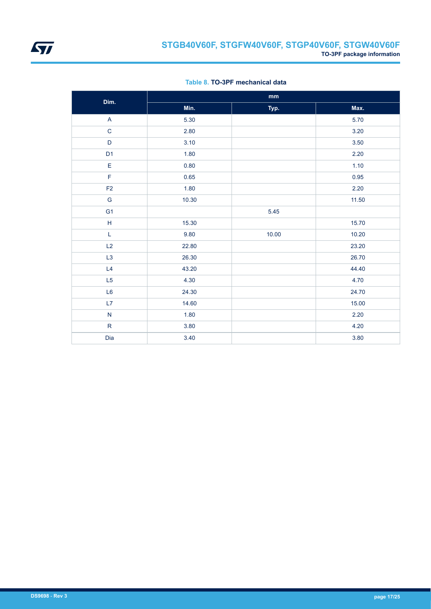

| Dim.           | $\mathop{\text{mm}}\nolimits$ |       |       |  |  |
|----------------|-------------------------------|-------|-------|--|--|
|                | Min.                          | Typ.  | Max.  |  |  |
| A              | 5.30                          |       | 5.70  |  |  |
| $\mathsf C$    | 2.80                          |       | 3.20  |  |  |
| D              | 3.10                          |       | 3.50  |  |  |
| D <sub>1</sub> | 1.80                          |       | 2.20  |  |  |
| E              | 0.80                          |       | 1.10  |  |  |
| $\mathsf F$    | 0.65                          |       | 0.95  |  |  |
| F <sub>2</sub> | 1.80                          |       | 2.20  |  |  |
| ${\mathsf G}$  | 10.30                         |       | 11.50 |  |  |
| G <sub>1</sub> |                               | 5.45  |       |  |  |
| $\mathsf H$    | 15.30                         |       | 15.70 |  |  |
| L              | 9.80                          | 10.00 | 10.20 |  |  |
| L2             | 22.80                         |       | 23.20 |  |  |
| L <sub>3</sub> | 26.30                         |       | 26.70 |  |  |
| L4             | 43.20                         |       | 44.40 |  |  |
| L5             | 4.30                          |       | 4.70  |  |  |
| L6             | 24.30                         |       | 24.70 |  |  |
| L7             | 14.60                         |       | 15.00 |  |  |
| ${\sf N}$      | 1.80                          |       | 2.20  |  |  |
| ${\sf R}$      | $3.80$                        |       | 4.20  |  |  |
| Dia            | 3.40                          |       | 3.80  |  |  |

**Table 8. TO-3PF mechanical data**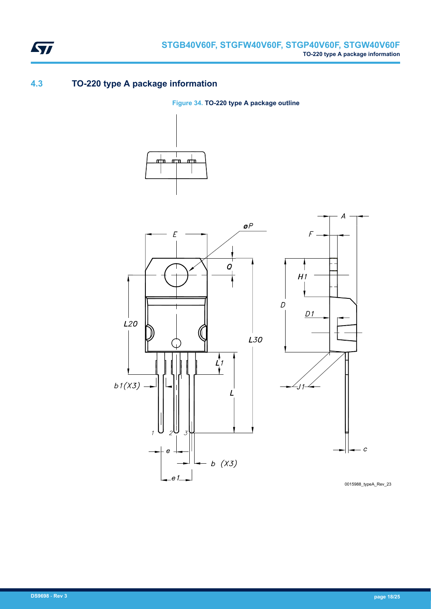<span id="page-17-0"></span>

### **4.3 TO-220 type A package information**

**Figure 34. TO-220 type A package outline**





0015988\_typeA\_Rev\_23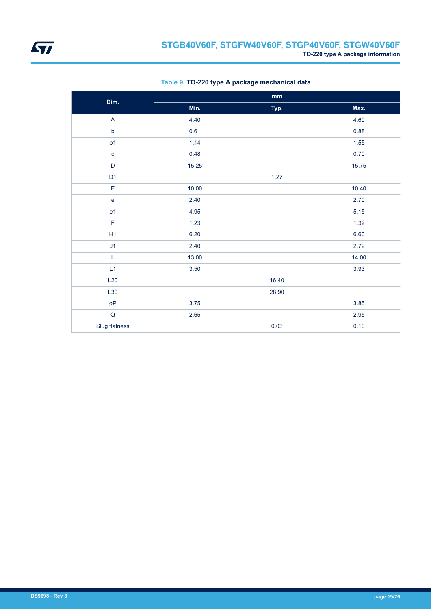| Dim.           | $\mathop{\text{mm}}\nolimits$ |       |       |  |  |
|----------------|-------------------------------|-------|-------|--|--|
|                | Min.                          | Typ.  | Max.  |  |  |
| A              | 4.40                          |       | 4.60  |  |  |
| $\sf b$        | 0.61                          |       | 0.88  |  |  |
| b1             | 1.14                          |       | 1.55  |  |  |
| $\mathbf{C}$   | 0.48                          |       | 0.70  |  |  |
| $\mathsf{D}%$  | 15.25                         |       | 15.75 |  |  |
| D <sub>1</sub> |                               | 1.27  |       |  |  |
| $\mathsf E$    | 10.00                         |       | 10.40 |  |  |
| $\mathsf{e}$   | 2.40                          |       | 2.70  |  |  |
| e <sub>1</sub> | 4.95                          |       | 5.15  |  |  |
| F              | 1.23                          |       | 1.32  |  |  |
| H1             | 6.20                          |       | 6.60  |  |  |
| J1             | 2.40                          |       | 2.72  |  |  |
| $\mathsf L$    | 13.00                         |       | 14.00 |  |  |
| L1             | 3.50                          |       | 3.93  |  |  |
| L20            |                               | 16.40 |       |  |  |
| L30            |                               | 28.90 |       |  |  |
| øP             | 3.75                          |       | 3.85  |  |  |
| $\sf Q$        | 2.65                          |       | 2.95  |  |  |
| Slug flatness  |                               | 0.03  | 0.10  |  |  |

#### **Table 9. TO-220 type A package mechanical data**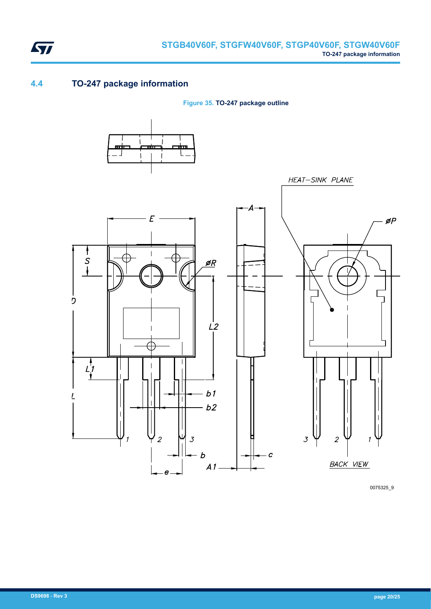<span id="page-19-0"></span>

### **4.4 TO-247 package information**

**Figure 35. TO-247 package outline**



0075325\_9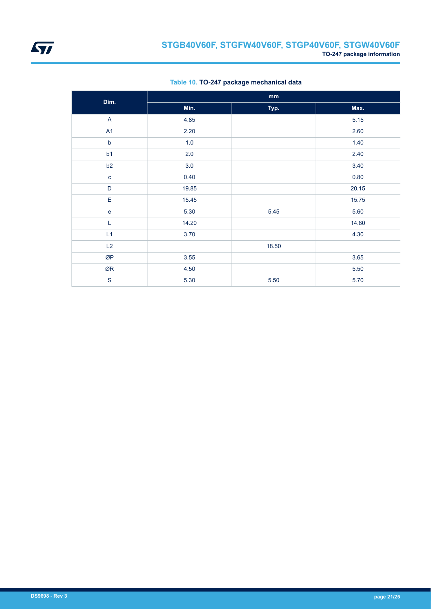|                | mm    |       |       |  |  |
|----------------|-------|-------|-------|--|--|
| Dim.           | Min.  | Typ.  | Max.  |  |  |
| $\mathsf{A}$   | 4.85  |       | 5.15  |  |  |
| A <sub>1</sub> | 2.20  |       | 2.60  |  |  |
| $\mathsf b$    | 1.0   |       | 1.40  |  |  |
| b1             | 2.0   |       | 2.40  |  |  |
| b2             | 3.0   |       | 3.40  |  |  |
| $\mathbf{C}$   | 0.40  |       | 0.80  |  |  |
| $\mathsf D$    | 19.85 |       | 20.15 |  |  |
| E              | 15.45 |       | 15.75 |  |  |
| ${\bf e}$      | 5.30  | 5.45  | 5.60  |  |  |
| L              | 14.20 |       | 14.80 |  |  |
| L1             | 3.70  |       | 4.30  |  |  |
| L2             |       | 18.50 |       |  |  |
| ØP             | 3.55  |       | 3.65  |  |  |
| ØR             | 4.50  |       | 5.50  |  |  |
| $\mathbf S$    | 5.30  | 5.50  | 5.70  |  |  |

#### **Table 10. TO-247 package mechanical data**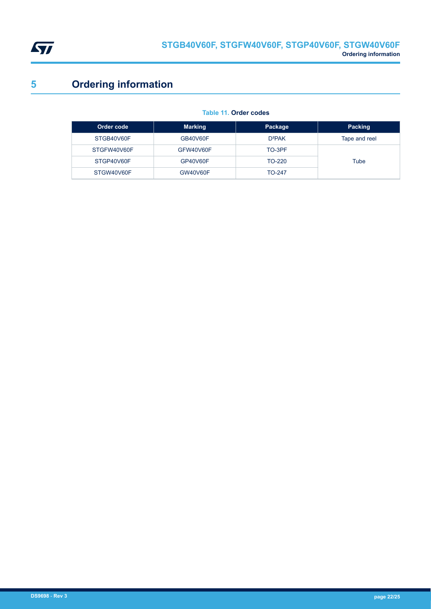<span id="page-21-0"></span>

# **5 Ordering information**

#### **Table 11. Order codes**

| Order code  | <b>Marking</b>  | Package       | Packing       |
|-------------|-----------------|---------------|---------------|
| STGB40V60F  | GB40V60F        | $D^2PAK$      | Tape and reel |
| STGFW40V60F | GFW40V60F       | TO-3PF        |               |
| STGP40V60F  | GP40V60F        | TO-220        | Tube          |
| STGW40V60F  | <b>GW40V60F</b> | <b>TO-247</b> |               |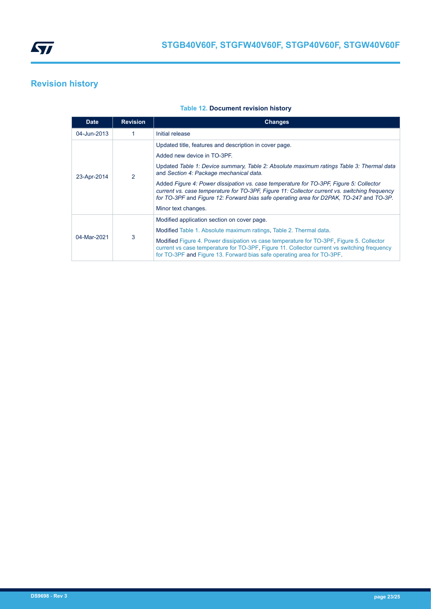<span id="page-22-0"></span>

# **Revision history**

#### **Table 12. Document revision history**

| <b>Date</b> | <b>Revision</b> | <b>Changes</b>                                                                                                                                                                                                                                                                     |  |
|-------------|-----------------|------------------------------------------------------------------------------------------------------------------------------------------------------------------------------------------------------------------------------------------------------------------------------------|--|
| 04-Jun-2013 |                 | Initial release                                                                                                                                                                                                                                                                    |  |
| 23-Apr-2014 | 2               | Updated title, features and description in cover page.                                                                                                                                                                                                                             |  |
|             |                 | Added new device in TO-3PF.                                                                                                                                                                                                                                                        |  |
|             |                 | Updated Table 1: Device summary, Table 2: Absolute maximum ratings Table 3: Thermal data<br>and Section 4: Package mechanical data.                                                                                                                                                |  |
|             |                 | Added Figure 4: Power dissipation vs. case temperature for TO-3PF, Figure 5: Collector<br>current vs. case temperature for TO-3PF. Figure 11: Collector current vs. switching frequency<br>for TO-3PF and Figure 12: Forward bias safe operating area for D2PAK, TO-247 and TO-3P. |  |
|             |                 | Minor text changes.                                                                                                                                                                                                                                                                |  |
| 04-Mar-2021 | 3               | Modified application section on cover page.                                                                                                                                                                                                                                        |  |
|             |                 | Modified Table 1. Absolute maximum ratings. Table 2. Thermal data.                                                                                                                                                                                                                 |  |
|             |                 | Modified Figure 4. Power dissipation vs case temperature for TO-3PF, Figure 5. Collector<br>current vs case temperature for TO-3PF, Figure 11. Collector current vs switching frequency<br>for TO-3PF and Figure 13. Forward bias safe operating area for TO-3PF.                  |  |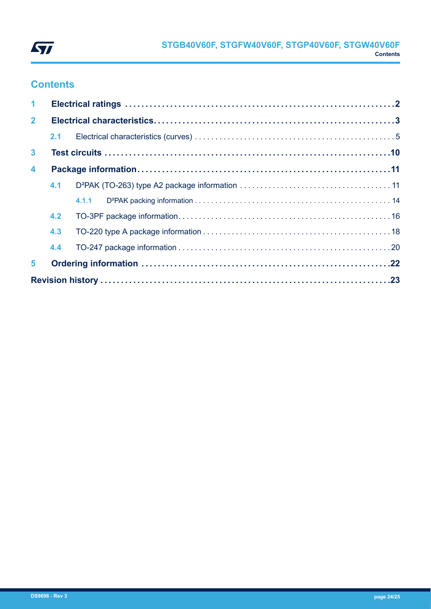

# **Contents**

| $\mathbf 1$             |     |  |  |  |  |  |  |
|-------------------------|-----|--|--|--|--|--|--|
| $\mathbf{2}$            |     |  |  |  |  |  |  |
|                         |     |  |  |  |  |  |  |
| $\mathbf{3}$            |     |  |  |  |  |  |  |
| $\overline{\mathbf{4}}$ |     |  |  |  |  |  |  |
|                         | 4.1 |  |  |  |  |  |  |
|                         |     |  |  |  |  |  |  |
|                         | 4.2 |  |  |  |  |  |  |
|                         | 4.3 |  |  |  |  |  |  |
|                         | 4.4 |  |  |  |  |  |  |
| 5                       |     |  |  |  |  |  |  |
|                         |     |  |  |  |  |  |  |